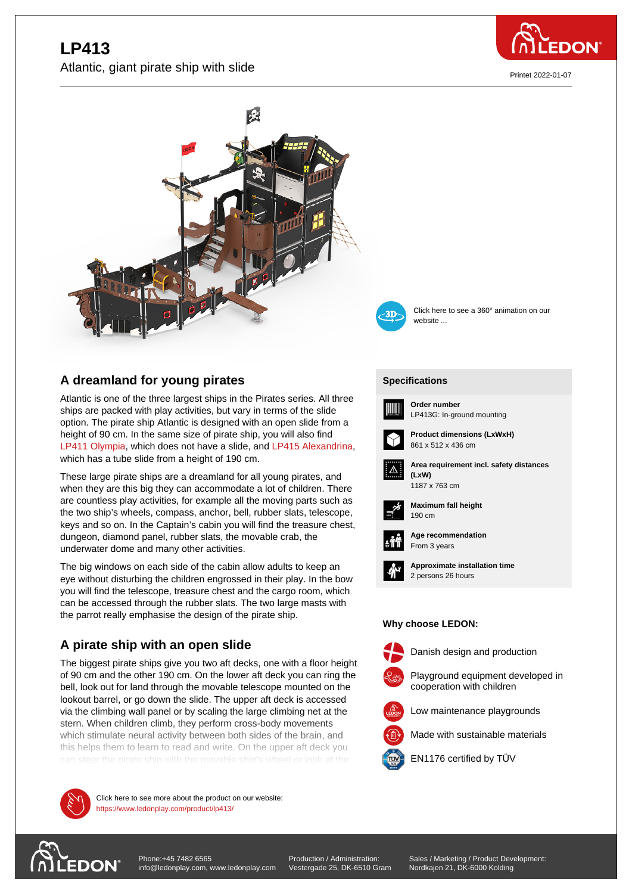# **Let**  $\cdot$ Atlantic, giant pirate ship with slide



Printet 2022-01-07





Click here to see a 360° animation on our website ...

## **A dreamland for young pirates**

Atlantic is one of the three largest ships in the Pirates series. All three ships are packed with play activities, but vary in terms of the slide option. The pirate ship Atlantic is designed with an open slide from a height of 90 cm. In the same size of pirate ship, you will also find LP411 Olympia, which does not have a slide, and LP415 Alexandrina, which has a tube slide from a height of 190 cm.

These large pirate ships are a dreamland for all young pirates, and when they are this big they can accommodate a lot of children. There [are countless pl](https://www.ledonplay.com/product/LP411/)ay activities, for example all the m[oving parts such as](https://www.ledonplay.com/product/LP415/) the two ship's wheels, compass, anchor, bell, rubber slats, telescope, keys and so on. In the Captain's cabin you will find the treasure chest, dungeon, diamond panel, rubber slats, the movable crab, the underwater dome and many other activities.

The big windows on each side of the cabin allow adults to keep an eye without disturbing the children engrossed in their play. In the bow you will find the telescope, treasure chest and the cargo room, which can be accessed through the rubber slats. The two large masts with the parrot really emphasise the design of the pirate ship.

### **A pirate ship with an open slide**

The biggest pirate ships give you two aft decks, one with a floor height of 90 cm and the other 190 cm. On the lower aft deck you can ring the bell, look out for land through the movable telescope mounted on the lookout barrel, or go down the slide. The upper aft deck is accessed via the climbing wall panel or by scaling the large climbing net at the stern. When children climb, they perform cross-body movements which stimulate neural activity between both sides of the brain, and this helps them to learn to read and write. On the upper aft deck you



**Ships and all the play activities here to see more about the product on our website:** https://www.ledonplay.com/product/lp413/

#### **[Specific](https://www.ledonplay.com/product/lp413/)ations [Speci](https://www.ledonplay.com/product/lp413/)fications**



**Order number** LP413G: In-ground mounting



**Product dimensions (LxWxH)** 861 x 512 x 436 cm



**Area requirement incl. safety distances (LxW) (LxW)**



**Maximum fall height** 190 cm 190 cm



**Age recommendation** From 3 years



**Approximate installation time** 2 persons 26 hours

#### **Why choose LEDON: Why choose LEDON:**



Danish design and production



Low maintenance playgrounds

Made with sustainable materials



EN1176 certified by TÜV



suspension bridges.

Production / Administration: Vestergade 25, DK-6510 Gram Sales / Marketing / Product Development: Nordkajen 21, DK-6000 Kolding